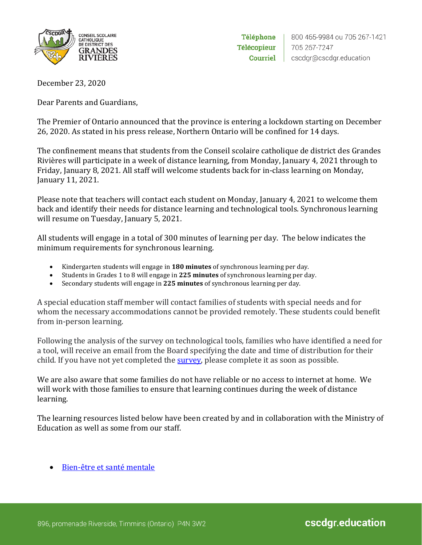

Téléphone **Télécopieur** Courriel

December 23, 2020

Dear Parents and Guardians,

The Premier of Ontario announced that the province is entering a lockdown starting on December 26, 2020. As stated in his press release, Northern Ontario will be confined for 14 days.

The confinement means that students from the Conseil scolaire catholique de district des Grandes Rivières will participate in a week of distance learning, from Monday, January 4, 2021 through to Friday, January 8, 2021. All staff will welcome students back for in-class learning on Monday, January 11, 2021.

Please note that teachers will contact each student on Monday, January 4, 2021 to welcome them back and identify their needs for distance learning and technological tools. Synchronous learning will resume on Tuesday, January 5, 2021.

All students will engage in a total of 300 minutes of learning per day. The below indicates the minimum requirements for synchronous learning.

- Kindergarten students will engage in **180 minutes** of synchronous learning per day.
- Students in Grades 1 to 8 will engage in **225 minutes** of synchronous learning per day.
- Secondary students will engage in **225 minutes** of synchronous learning per day.

A special education staff member will contact families of students with special needs and for whom the necessary accommodations cannot be provided remotely. These students could benefit from in-person learning.

Following the analysis of the survey on technological tools, families who have identified a need for a tool, will receive an email from the Board specifying the date and time of distribution for their child. If you have not yet completed the [survey,](https://forms.office.com/Pages/ResponsePage.aspx?id=2AWt8CD2NkuaqTorqasuEnV1qwdb9qBPr4z5pBNN1olURDBNQzZYMEQwSkcwVlBGOEtDWlM4VFVTMi4u) please complete it as soon as possible.

We are also aware that some families do not have reliable or no access to internet at home. We will work with those families to ensure that learning continues during the week of distance learning.

The learning resources listed below have been created by and in collaboration with the Ministry of Education as well as some from our staff.

• [Bien-être et santé mentale](https://sites.google.com/cscdgr.net/activitspdagogiques/bien-%C3%AAtre-et-sant%C3%A9-mentale?authuser=0)